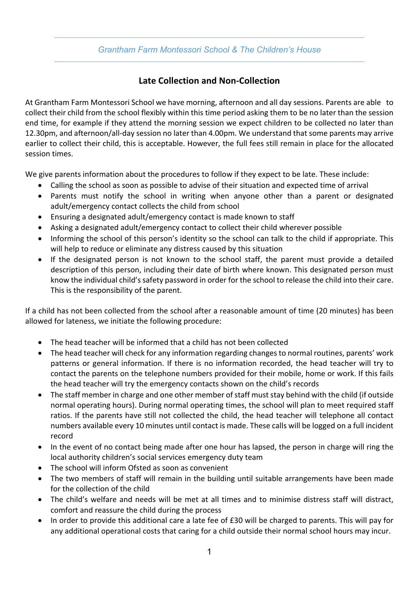## *Grantham Farm Montessori School & The Children's House*

## **Late Collection and Non-Collection**

At Grantham Farm Montessori School we have morning, afternoon and all day sessions. Parents are able to collect their child from the school flexibly within this time period asking them to be no later than the session end time, for example if they attend the morning session we expect children to be collected no later than 12.30pm, and afternoon/all-day session no later than 4.00pm. We understand that some parents may arrive earlier to collect their child, this is acceptable. However, the full fees still remain in place for the allocated session times.

We give parents information about the procedures to follow if they expect to be late. These include:

- Calling the school as soon as possible to advise of their situation and expected time of arrival
- Parents must notify the school in writing when anyone other than a parent or designated adult/emergency contact collects the child from school
- Ensuring a designated adult/emergency contact is made known to staff
- Asking a designated adult/emergency contact to collect their child wherever possible
- Informing the school of this person's identity so the school can talk to the child if appropriate. This will help to reduce or eliminate any distress caused by this situation
- If the designated person is not known to the school staff, the parent must provide a detailed description of this person, including their date of birth where known. This designated person must know the individual child's safety password in order for the school to release the child into their care. This is the responsibility of the parent.

If a child has not been collected from the school after a reasonable amount of time (20 minutes) has been allowed for lateness, we initiate the following procedure:

- The head teacher will be informed that a child has not been collected
- The head teacher will check for any information regarding changes to normal routines, parents' work patterns or general information. If there is no information recorded, the head teacher will try to contact the parents on the telephone numbers provided for their mobile, home or work. If this fails the head teacher will try the emergency contacts shown on the child's records
- The staff member in charge and one other member of staff must stay behind with the child (if outside normal operating hours). During normal operating times, the school will plan to meet required staff ratios. If the parents have still not collected the child, the head teacher will telephone all contact numbers available every 10 minutes until contact is made. These calls will be logged on a full incident record
- In the event of no contact being made after one hour has lapsed, the person in charge will ring the local authority children's social services emergency duty team
- The school will inform Ofsted as soon as convenient
- The two members of staff will remain in the building until suitable arrangements have been made for the collection of the child
- The child's welfare and needs will be met at all times and to minimise distress staff will distract, comfort and reassure the child during the process
- In order to provide this additional care a late fee of £30 will be charged to parents. This will pay for any additional operational costs that caring for a child outside their normal school hours may incur.